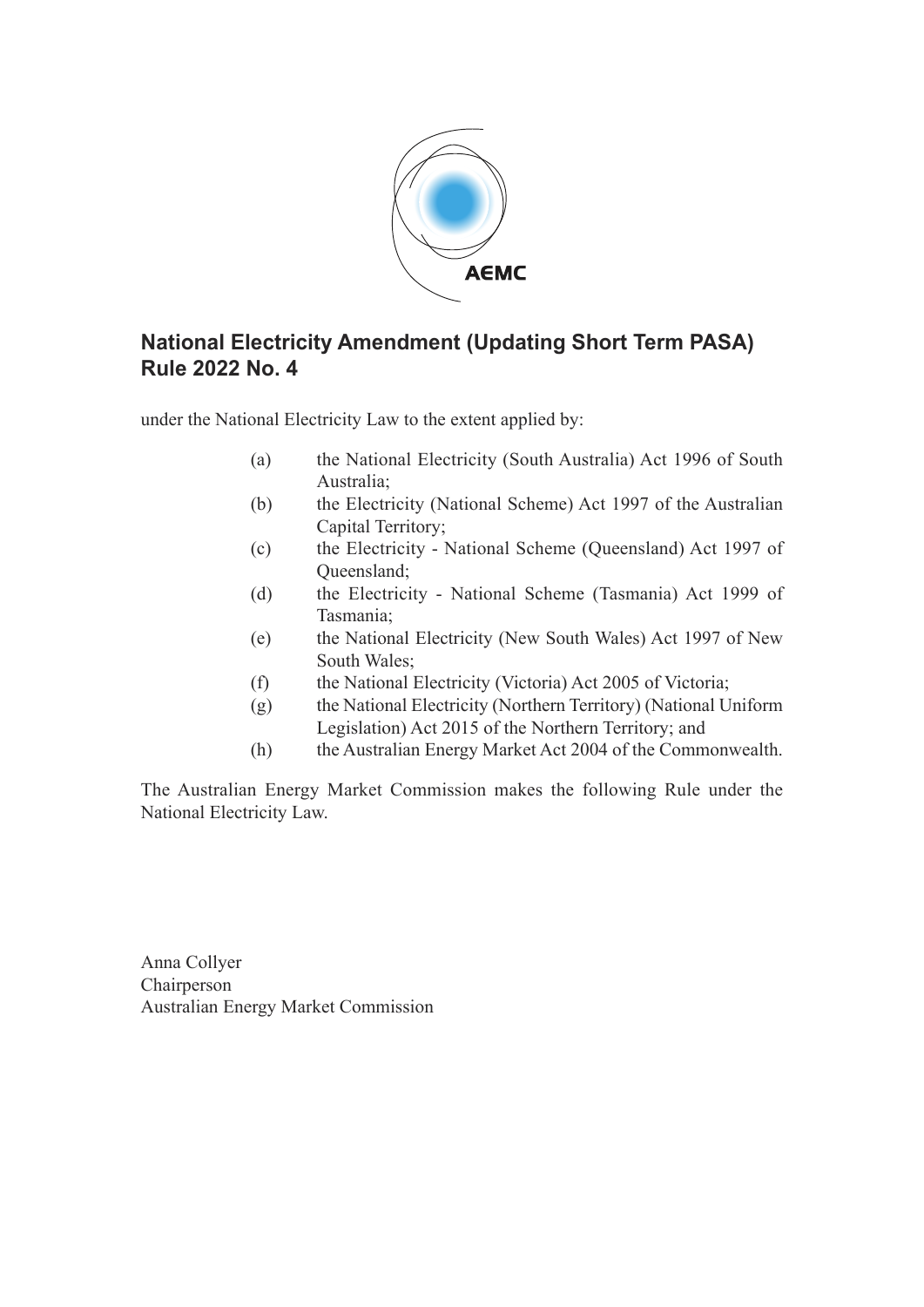

# **National Electricity Amendment (Updating Short Term PASA) Rule 2022 No. 4**

under the National Electricity Law to the extent applied by:

- (a) the National Electricity (South Australia) Act 1996 of South Australia;
- (b) the Electricity (National Scheme) Act 1997 of the Australian Capital Territory;
- (c) the Electricity National Scheme (Queensland) Act 1997 of Queensland;
- (d) the Electricity National Scheme (Tasmania) Act 1999 of Tasmania;
- (e) the National Electricity (New South Wales) Act 1997 of New South Wales;
- (f) the National Electricity (Victoria) Act 2005 of Victoria;
- (g) the National Electricity (Northern Territory) (National Uniform Legislation) Act 2015 of the Northern Territory; and
- (h) the Australian Energy Market Act 2004 of the Commonwealth.

The Australian Energy Market Commission makes the following Rule under the National Electricity Law.

Anna Collyer Chairperson Australian Energy Market Commission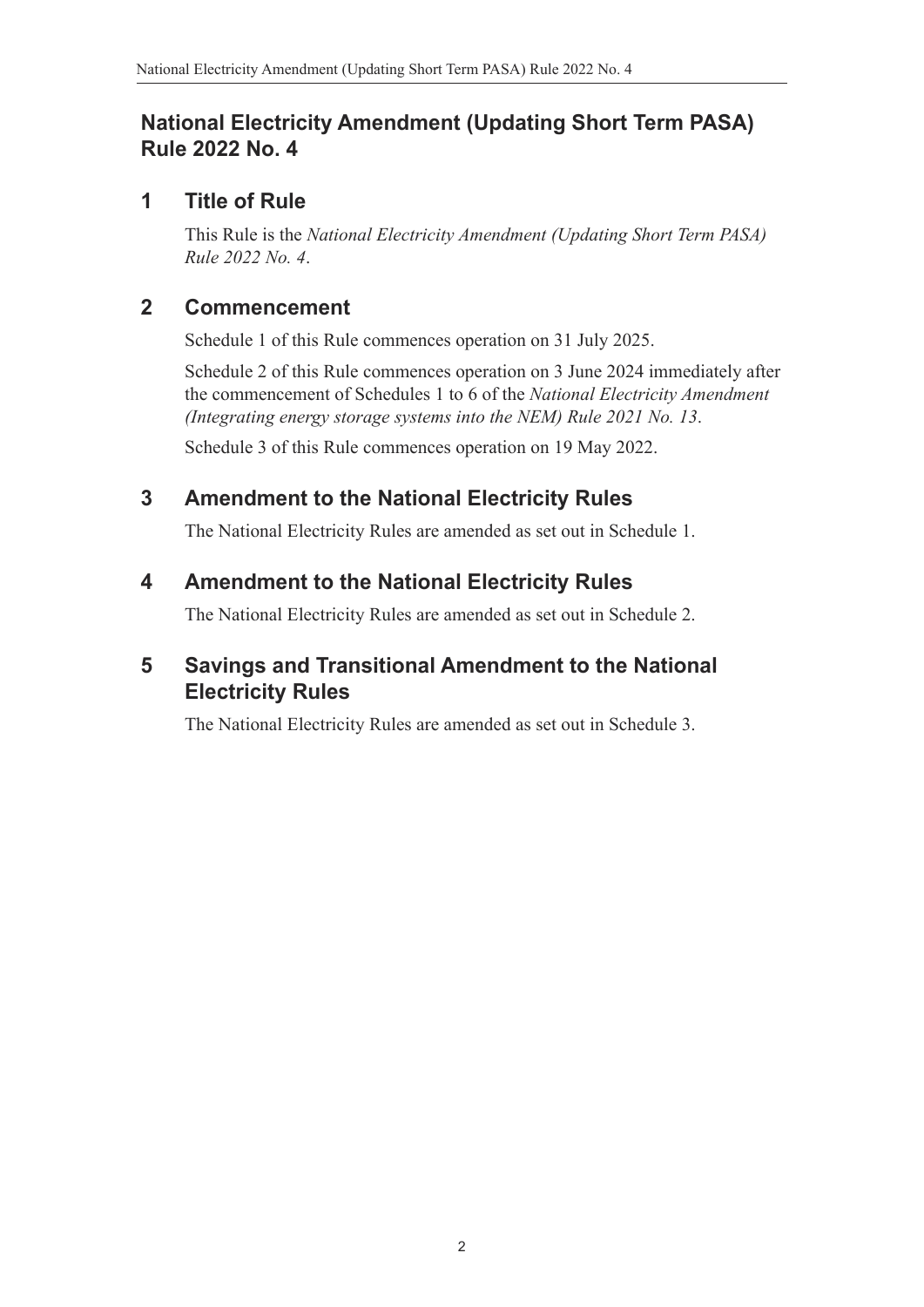# **National Electricity Amendment (Updating Short Term PASA) Rule 2022 No. 4**

# **1 Title of Rule**

This Rule is the *National Electricity Amendment (Updating Short Term PASA) Rule 2022 No. 4*.

# **2 Commencement**

Schedule 1 of this Rule commences operation on 31 July 2025.

Schedule 2 of this Rule commences operation on 3 June 2024 immediately after the commencement of Schedules 1 to 6 of the *National Electricity Amendment (Integrating energy storage systems into the NEM) Rule 2021 No. 13*.

Schedule 3 of this Rule commences operation on 19 May 2022.

# **3 Amendment to the National Electricity Rules**

The National Electricity Rules are amended as set out in Schedule 1.

# **4 Amendment to the National Electricity Rules**

The National Electricity Rules are amended as set out in Schedule 2.

# **5 Savings and Transitional Amendment to the National Electricity Rules**

The National Electricity Rules are amended as set out in Schedule 3.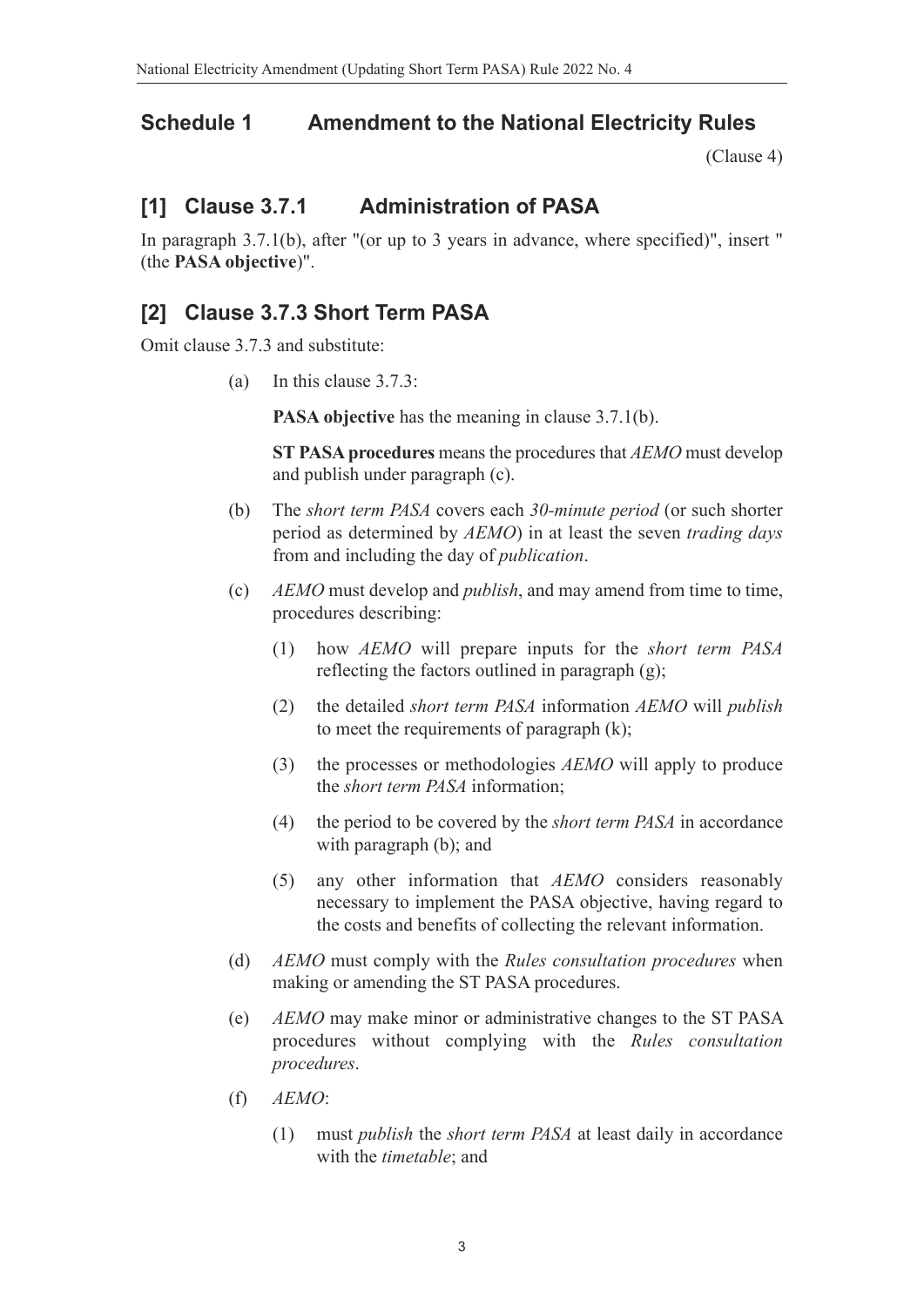# **Schedule 1 Amendment to the National Electricity Rules**

(Clause 4)

# **[1] Clause 3.7.1 Administration of PASA**

In paragraph 3.7.1(b), after "(or up to 3 years in advance, where specified)", insert " (the **PASA objective**)".

# **[2] Clause 3.7.3 Short Term PASA**

Omit clause 3.7.3 and substitute:

(a) In this clause 3.7.3:

**PASA objective** has the meaning in clause 3.7.1(b).

**ST PASA procedures** means the procedures that *AEMO* must develop and publish under paragraph (c).

- (b) The *short term PASA* covers each *30-minute period* (or such shorter period as determined by *AEMO*) in at least the seven *trading days* from and including the day of *publication*.
- (c) *AEMO* must develop and *publish*, and may amend from time to time, procedures describing:
	- (1) how *AEMO* will prepare inputs for the *short term PASA* reflecting the factors outlined in paragraph (g);
	- (2) the detailed *short term PASA* information *AEMO* will *publish* to meet the requirements of paragraph (k);
	- (3) the processes or methodologies *AEMO* will apply to produce the *short term PASA* information;
	- (4) the period to be covered by the *short term PASA* in accordance with paragraph (b); and
	- (5) any other information that *AEMO* considers reasonably necessary to implement the PASA objective, having regard to the costs and benefits of collecting the relevant information.
- (d) *AEMO* must comply with the *Rules consultation procedures* when making or amending the ST PASA procedures.
- (e) *AEMO* may make minor or administrative changes to the ST PASA procedures without complying with the *Rules consultation procedures*.
- (f) *AEMO*:
	- (1) must *publish* the *short term PASA* at least daily in accordance with the *timetable*; and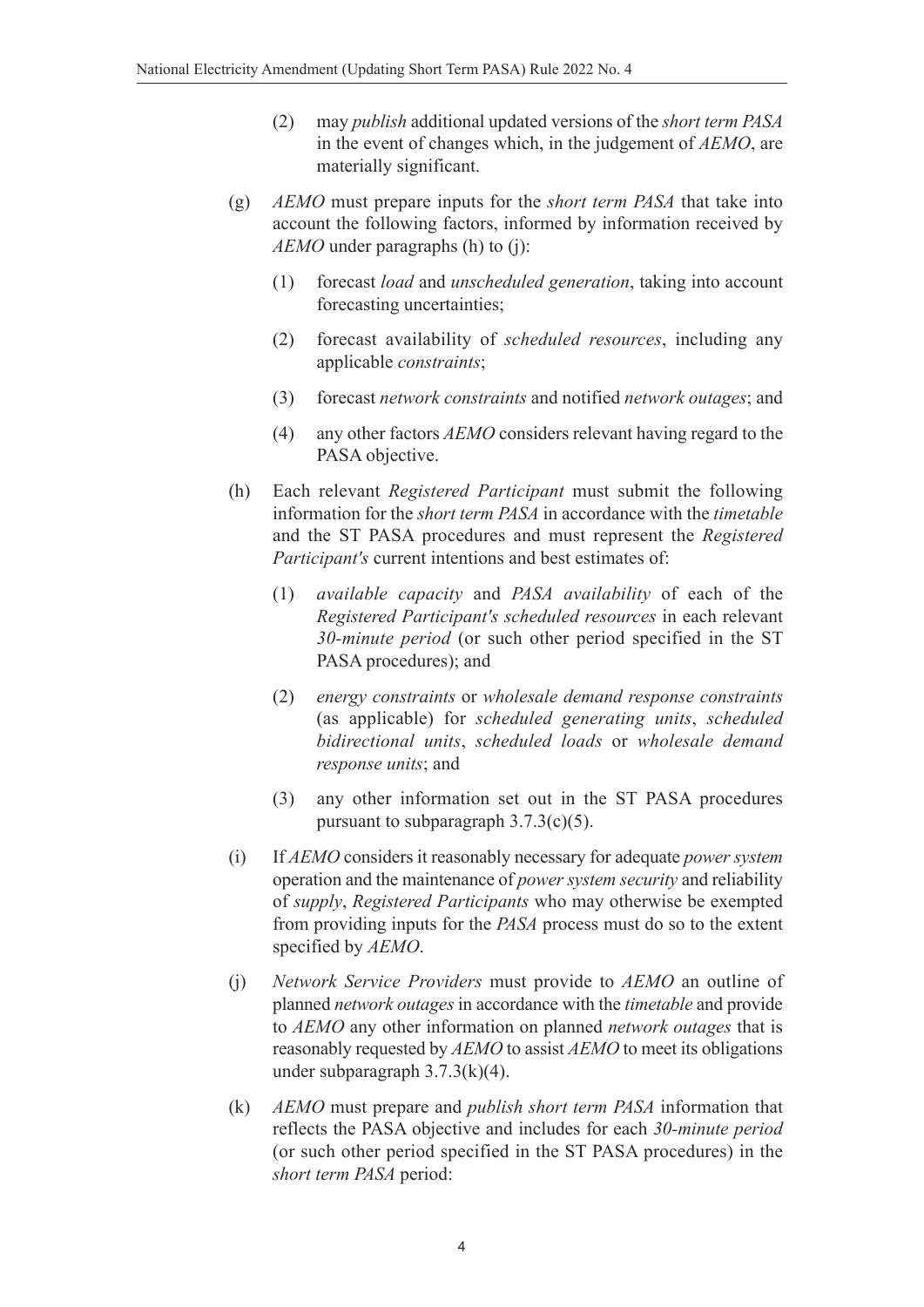- (2) may *publish* additional updated versions of the *short term PASA* in the event of changes which, in the judgement of *AEMO*, are materially significant.
- (g) *AEMO* must prepare inputs for the *short term PASA* that take into account the following factors, informed by information received by *AEMO* under paragraphs (h) to (j):
	- (1) forecast *load* and *unscheduled generation*, taking into account forecasting uncertainties;
	- (2) forecast availability of *scheduled resources*, including any applicable *constraints*;
	- (3) forecast *network constraints* and notified *network outages*; and
	- (4) any other factors *AEMO* considers relevant having regard to the PASA objective.
- (h) Each relevant *Registered Participant* must submit the following information for the *short term PASA* in accordance with the *timetable* and the ST PASA procedures and must represent the *Registered Participant's* current intentions and best estimates of:
	- (1) *available capacity* and *PASA availability* of each of the *Registered Participant's scheduled resources* in each relevant *30-minute period* (or such other period specified in the ST PASA procedures); and
	- (2) *energy constraints* or *wholesale demand response constraints* (as applicable) for *scheduled generating units*, *scheduled bidirectional units*, *scheduled loads* or *wholesale demand response units*; and
	- (3) any other information set out in the ST PASA procedures pursuant to subparagraph  $3.7.3(c)(5)$ .
- (i) If *AEMO* considers it reasonably necessary for adequate *power system* operation and the maintenance of *power system security* and reliability of *supply*, *Registered Participants* who may otherwise be exempted from providing inputs for the *PASA* process must do so to the extent specified by *AEMO*.
- (j) *Network Service Providers* must provide to *AEMO* an outline of planned *network outages* in accordance with the *timetable* and provide to *AEMO* any other information on planned *network outages* that is reasonably requested by *AEMO* to assist *AEMO* to meet its obligations under subparagraph 3.7.3(k)(4).
- (k) *AEMO* must prepare and *publish short term PASA* information that reflects the PASA objective and includes for each *30-minute period* (or such other period specified in the ST PASA procedures) in the *short term PASA* period: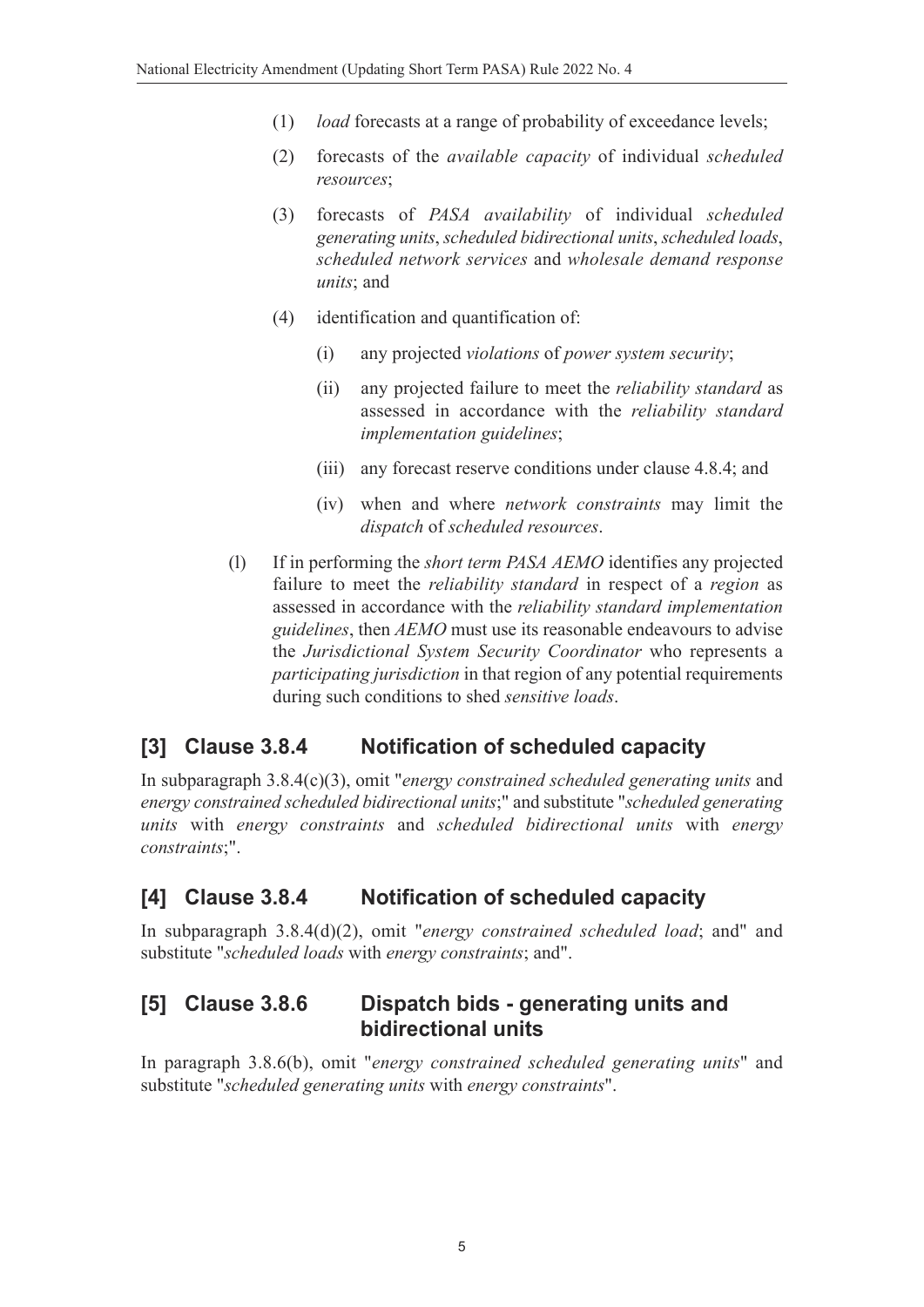- (1) *load* forecasts at a range of probability of exceedance levels;
- (2) forecasts of the *available capacity* of individual *scheduled resources*;
- (3) forecasts of *PASA availability* of individual *scheduled generating units*, *scheduled bidirectional units*, *scheduled loads*, *scheduled network services* and *wholesale demand response units*; and
- (4) identification and quantification of:
	- (i) any projected *violations* of *power system security*;
	- (ii) any projected failure to meet the *reliability standard* as assessed in accordance with the *reliability standard implementation guidelines*;
	- (iii) any forecast reserve conditions under clause 4.8.4; and
	- (iv) when and where *network constraints* may limit the *dispatch* of *scheduled resources*.
- (l) If in performing the *short term PASA AEMO* identifies any projected failure to meet the *reliability standard* in respect of a *region* as assessed in accordance with the *reliability standard implementation guidelines*, then *AEMO* must use its reasonable endeavours to advise the *Jurisdictional System Security Coordinator* who represents a *participating jurisdiction* in that region of any potential requirements during such conditions to shed *sensitive loads*.

# **[3] Clause 3.8.4 Notification of scheduled capacity**

In subparagraph 3.8.4(c)(3), omit "*energy constrained scheduled generating units* and *energy constrained scheduled bidirectional units*;" and substitute "*scheduled generating units* with *energy constraints* and *scheduled bidirectional units* with *energy constraints*;".

# **[4] Clause 3.8.4 Notification of scheduled capacity**

In subparagraph 3.8.4(d)(2), omit "*energy constrained scheduled load*; and" and substitute "*scheduled loads* with *energy constraints*; and".

# **[5] Clause 3.8.6 Dispatch bids - generating units and bidirectional units**

In paragraph 3.8.6(b), omit "*energy constrained scheduled generating units*" and substitute "*scheduled generating units* with *energy constraints*".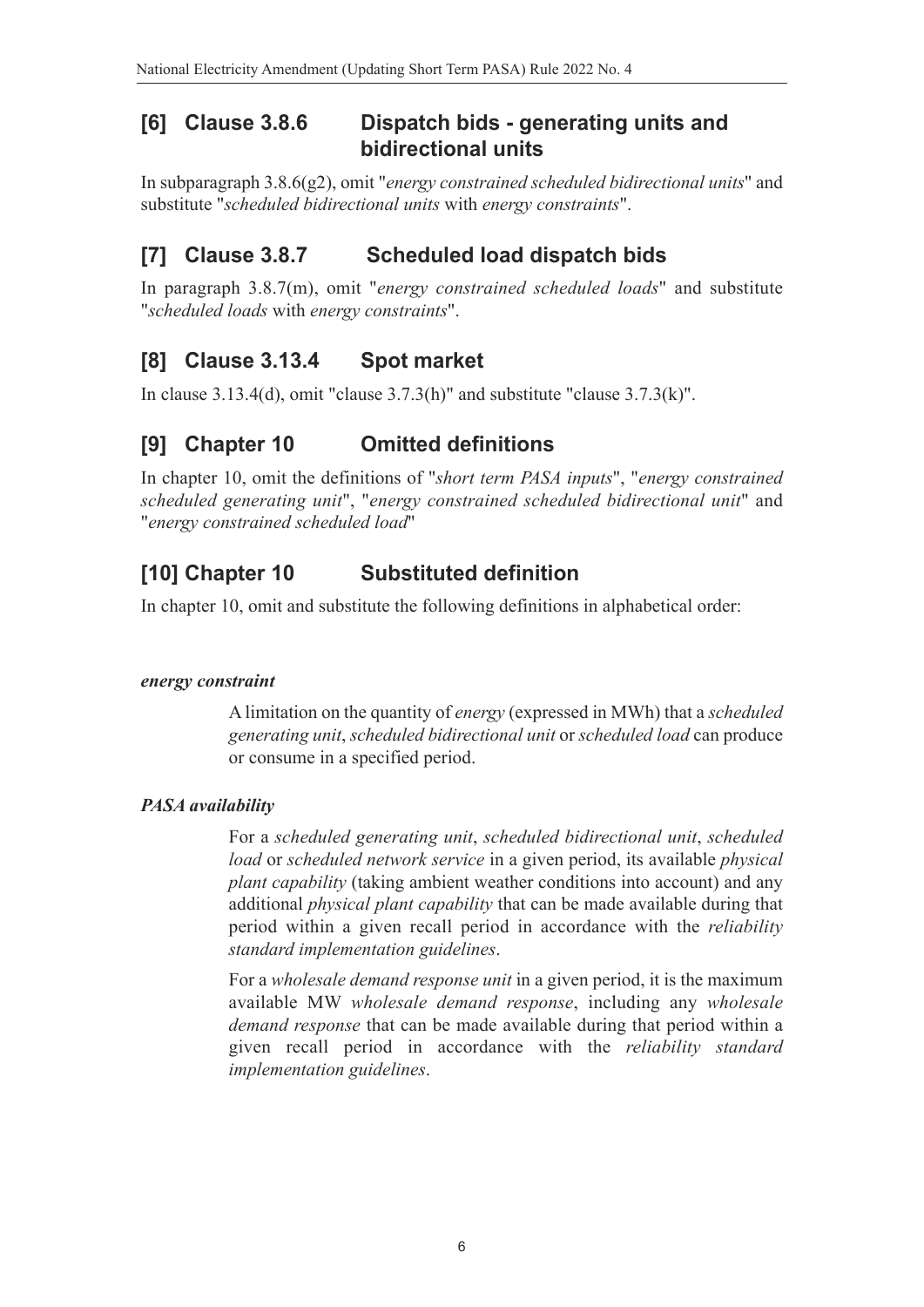# **[6] Clause 3.8.6 Dispatch bids - generating units and bidirectional units**

In subparagraph 3.8.6(g2), omit "*energy constrained scheduled bidirectional units*" and substitute "*scheduled bidirectional units* with *energy constraints*".

# **[7] Clause 3.8.7 Scheduled load dispatch bids**

In paragraph 3.8.7(m), omit "*energy constrained scheduled loads*" and substitute "*scheduled loads* with *energy constraints*".

# **[8] Clause 3.13.4 Spot market**

In clause 3.13.4(d), omit "clause 3.7.3(h)" and substitute "clause 3.7.3(k)".

# **[9] Chapter 10 Omitted definitions**

In chapter 10, omit the definitions of "*short term PASA inputs*", "*energy constrained scheduled generating unit*", "*energy constrained scheduled bidirectional unit*" and "*energy constrained scheduled load*"

# **[10] Chapter 10 Substituted definition**

In chapter 10, omit and substitute the following definitions in alphabetical order:

#### *energy constraint*

A limitation on the quantity of *energy* (expressed in MWh) that a *scheduled generating unit*, *scheduled bidirectional unit* or *scheduled load* can produce or consume in a specified period.

#### *PASA availability*

For a *scheduled generating unit*, *scheduled bidirectional unit*, *scheduled load* or *scheduled network service* in a given period, its available *physical plant capability* (taking ambient weather conditions into account) and any additional *physical plant capability* that can be made available during that period within a given recall period in accordance with the *reliability standard implementation guidelines*.

For a *wholesale demand response unit* in a given period, it is the maximum available MW *wholesale demand response*, including any *wholesale demand response* that can be made available during that period within a given recall period in accordance with the *reliability standard implementation guidelines*.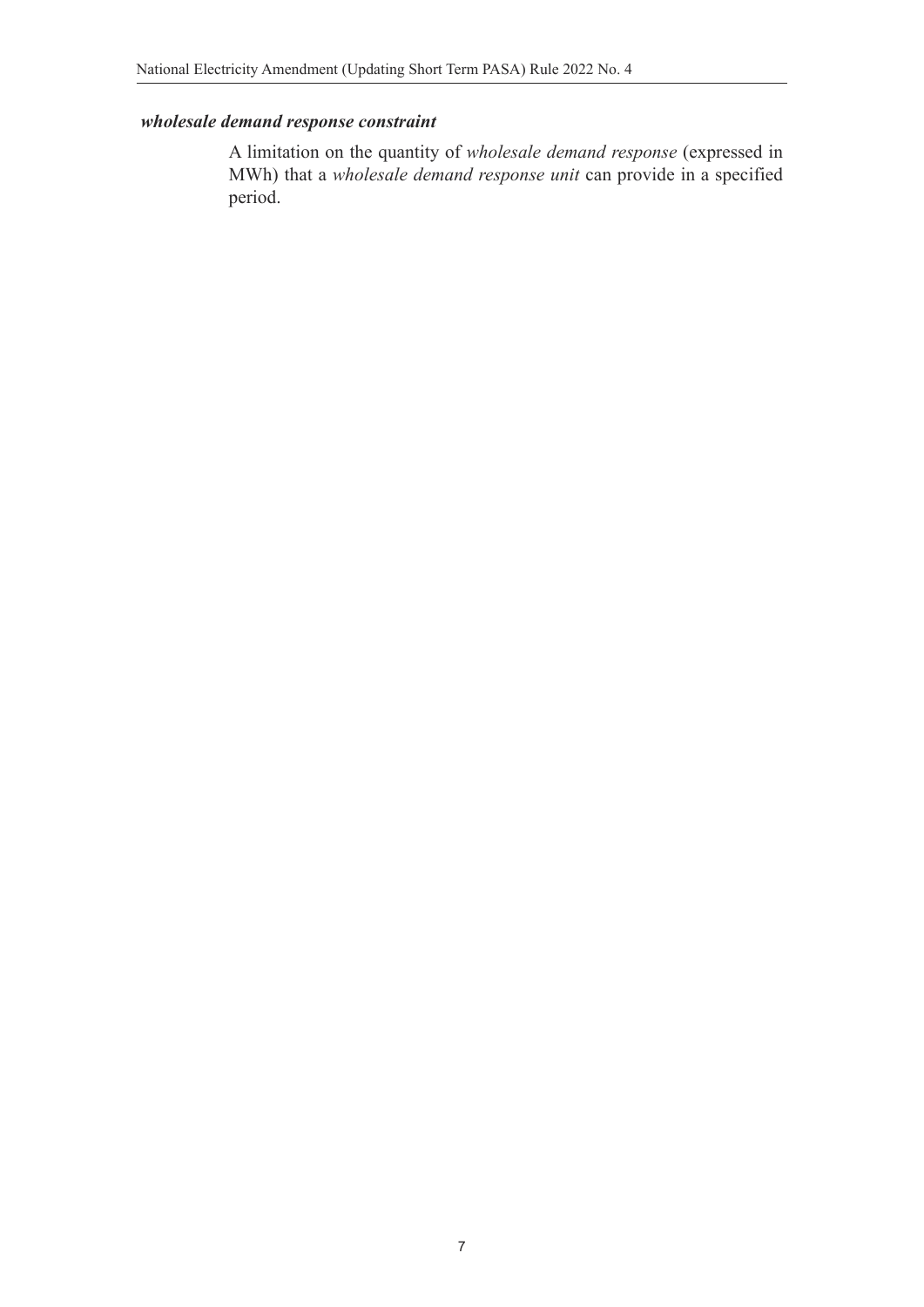#### *wholesale demand response constraint*

A limitation on the quantity of *wholesale demand response* (expressed in MWh) that a *wholesale demand response unit* can provide in a specified period.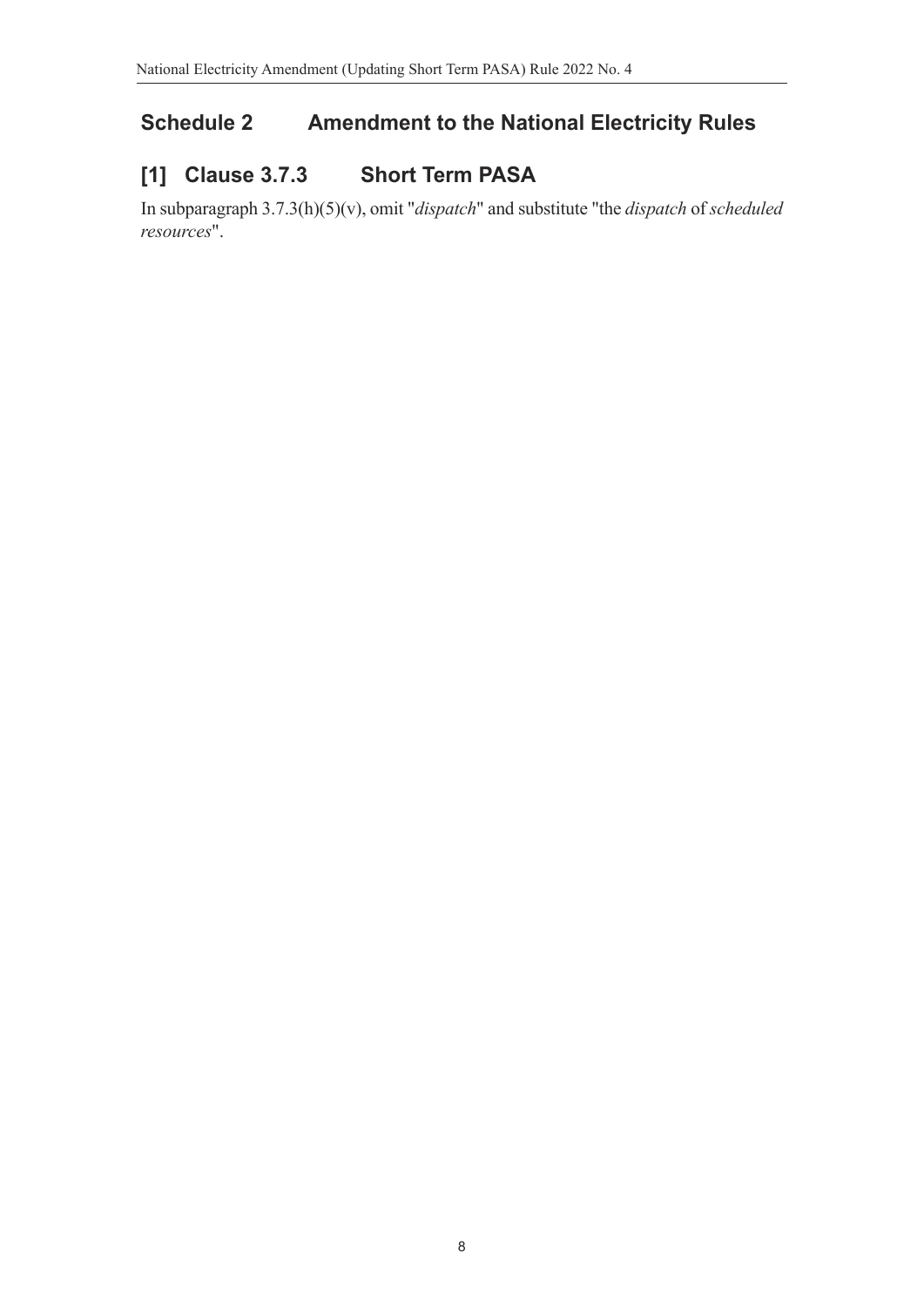# **Schedule 2 Amendment to the National Electricity Rules**

# **[1] Clause 3.7.3 Short Term PASA**

In subparagraph 3.7.3(h)(5)(v), omit "*dispatch*" and substitute "the *dispatch* of *scheduled resources*".